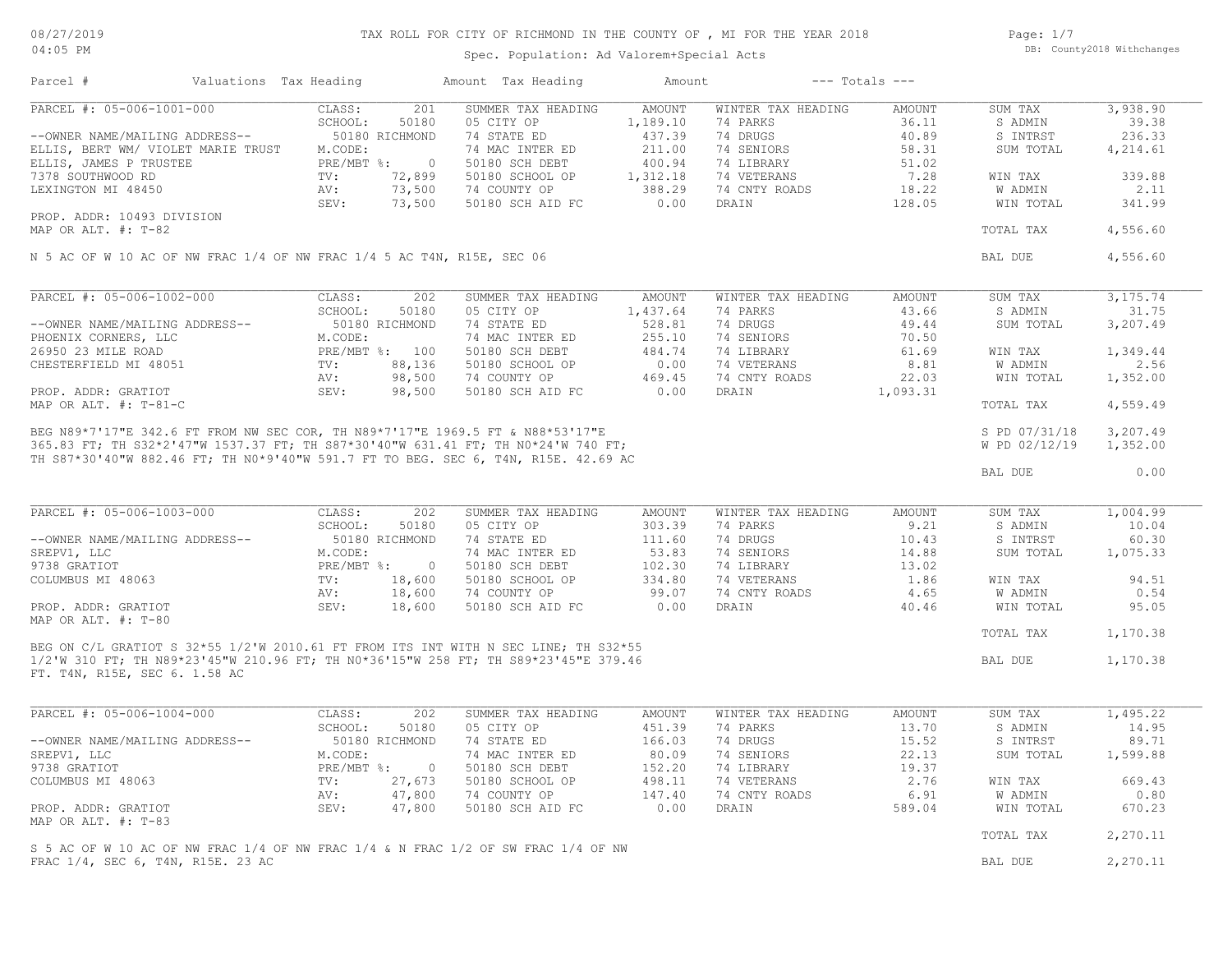## TAX ROLL FOR CITY OF RICHMOND IN THE COUNTY OF , MI FOR THE YEAR 2018

Spec. Population: Ad Valorem+Special Acts

Page: 1/7 DB: County2018 Withchanges

| Parcel #                                                               | Valuations Tax Heading |                |                | Amount Tax Heading                                                                                                                                                                                                                   | Amount        |                    | $---$ Totals $---$ |               |          |
|------------------------------------------------------------------------|------------------------|----------------|----------------|--------------------------------------------------------------------------------------------------------------------------------------------------------------------------------------------------------------------------------------|---------------|--------------------|--------------------|---------------|----------|
| PARCEL #: 05-006-1001-000                                              |                        | CLASS:         | 201            | SUMMER TAX HEADING                                                                                                                                                                                                                   | AMOUNT        | WINTER TAX HEADING | AMOUNT             | SUM TAX       | 3,938.90 |
|                                                                        |                        | SCHOOL:        | 50180          | 05 CITY OP                                                                                                                                                                                                                           | 1,189.10      | 74 PARKS           | 36.11              | S ADMIN       | 39.38    |
| --OWNER NAME/MAILING ADDRESS--                                         |                        | 50180 RICHMOND |                | 74 STATE ED                                                                                                                                                                                                                          | 437.39        | 74 DRUGS           | 40.89              | S INTRST      | 236.33   |
| ELLIS, BERT WM/ VIOLET MARIE TRUST M.CODE:                             |                        |                |                | 74 MAC INTER ED                                                                                                                                                                                                                      | 211.00        | 74 SENIORS         | 58.31              | SUM TOTAL     | 4,214.61 |
| ELLIS, JAMES P TRUSTEE                                                 |                        | PRE/MBT %:     | $\overline{0}$ | 50180 SCH DEBT                                                                                                                                                                                                                       | 400.94        | 74 LIBRARY         | 51.02              |               |          |
| 7378 SOUTHWOOD RD                                                      |                        | TV:            | 72,899         | 50180 SCHOOL OP                                                                                                                                                                                                                      | 1,312.18      | 74 VETERANS        | 7.28               | WIN TAX       | 339.88   |
| LEXINGTON MI 48450                                                     |                        | AV:            |                | 73,500 74 COUNTY OP                                                                                                                                                                                                                  | 388.29        | 74 CNTY ROADS      | 18.22              | W ADMIN       | 2.11     |
|                                                                        |                        | SEV:           | 73,500         | 50180 SCH AID FC                                                                                                                                                                                                                     | 0.00          | DRAIN              | 128.05             | WIN TOTAL     | 341.99   |
| PROP. ADDR: 10493 DIVISION                                             |                        |                |                |                                                                                                                                                                                                                                      |               |                    |                    |               |          |
| MAP OR ALT. #: T-82                                                    |                        |                |                |                                                                                                                                                                                                                                      |               |                    |                    | TOTAL TAX     | 4,556.60 |
| N 5 AC OF W 10 AC OF NW FRAC 1/4 OF NW FRAC 1/4 5 AC T4N, R15E, SEC 06 |                        |                |                |                                                                                                                                                                                                                                      |               |                    |                    | BAL DUE       | 4,556.60 |
|                                                                        |                        |                |                |                                                                                                                                                                                                                                      |               |                    |                    |               |          |
| PARCEL #: 05-006-1002-000                                              |                        | CLASS:         | 202            | SUMMER TAX HEADING                                                                                                                                                                                                                   | AMOUNT        | WINTER TAX HEADING | AMOUNT             | SUM TAX       | 3,175.74 |
|                                                                        |                        | SCHOOL:        | 50180          | 05 CITY OP                                                                                                                                                                                                                           | 1,437.64      | 74 PARKS           | 43.66              | S ADMIN       | 31.75    |
| --OWNER NAME/MAILING ADDRESS--                                         |                        | 50180 RICHMOND |                | 74 STATE ED                                                                                                                                                                                                                          | 528.81        | 74 DRUGS           | 49.44              | SUM TOTAL     | 3,207.49 |
| PHOENIX CORNERS, LLC                                                   |                        | M.CODE:        |                | 74 MAC INTER ED                                                                                                                                                                                                                      | 255.10        | 74 SENIORS         | 70.50              |               |          |
| 26950 23 MILE ROAD                                                     |                        | PRE/MBT %: 100 |                | 50180 SCH DEBT                                                                                                                                                                                                                       | 484.74        | 74 LIBRARY         | 61.69              | WIN TAX       | 1,349.44 |
| CHESTERFIELD MI 48051                                                  |                        | TV:            | 88,136         | 50180 SCHOOL OP                                                                                                                                                                                                                      | 0.00          | 74 VETERANS        | 8.81               | W ADMIN       | 2.56     |
|                                                                        |                        | AV:            | 98,500         | 74 COUNTY OP                                                                                                                                                                                                                         | 469.45        | 74 CNTY ROADS      | 22.03              | WIN TOTAL     | 1,352.00 |
| PROP. ADDR: GRATIOT                                                    |                        | SEV:           | 98,500         | 50180 SCH AID FC                                                                                                                                                                                                                     | 0.00          | DRAIN              | 1,093.31           |               |          |
| MAP OR ALT. $\#$ : T-81-C                                              |                        |                |                |                                                                                                                                                                                                                                      |               |                    |                    | TOTAL TAX     | 4,559.49 |
|                                                                        |                        |                |                | BEG N89*7'17"E 342.6 FT FROM NW SEC COR, TH N89*7'17"E 1969.5 FT & N88*53'17"E<br>365.83 FT; TH S32*2'47"W 1537.37 FT; TH S87*30'40"W 631.41 FT; TH N0*24'W 740 FT;<br>365.83 FT; TH S32*2'47"W 1537.37 FT; TH S87*30'40"W 631.41 FT |               |                    |                    |               |          |
|                                                                        |                        |                |                |                                                                                                                                                                                                                                      |               |                    |                    | S PD 07/31/18 | 3,207.49 |
|                                                                        |                        |                |                |                                                                                                                                                                                                                                      |               |                    |                    | W PD 02/12/19 | 1,352.00 |
|                                                                        |                        |                |                |                                                                                                                                                                                                                                      |               |                    |                    |               |          |
|                                                                        |                        |                |                |                                                                                                                                                                                                                                      |               |                    |                    | BAL DUE       | 0.00     |
|                                                                        |                        |                |                |                                                                                                                                                                                                                                      |               |                    |                    |               |          |
| PARCEL #: 05-006-1003-000                                              |                        | CLASS:         | 202            | SUMMER TAX HEADING                                                                                                                                                                                                                   | AMOUNT        | WINTER TAX HEADING | AMOUNT             | SUM TAX       | 1,004.99 |
|                                                                        |                        | SCHOOL:        | 50180          | 05 CITY OP                                                                                                                                                                                                                           | 303.39        | 74 PARKS           | 9.21               | S ADMIN       | 10.04    |
|                                                                        |                        |                |                |                                                                                                                                                                                                                                      |               | 74 DRUGS           |                    |               | 60.30    |
| --OWNER NAME/MAILING ADDRESS--                                         |                        | 50180 RICHMOND |                | 74 STATE ED                                                                                                                                                                                                                          | 111.60        |                    | 10.43              | S INTRST      |          |
| SREPV1, LLC                                                            |                        | M.CODE:        |                | 74 MAC INTER ED                                                                                                                                                                                                                      | 53.83         | 74 SENIORS         | 14.88              | SUM TOTAL     | 1,075.33 |
| 9738 GRATIOT                                                           |                        | PRE/MBT %:     | $\overline{0}$ | 50180 SCH DEBT                                                                                                                                                                                                                       | 102.30        | 74 LIBRARY         | 13.02              |               |          |
| COLUMBUS MI 48063                                                      |                        | 18,600<br>TV:  |                | 50180 SCHOOL OP                                                                                                                                                                                                                      | 334.80        | 74 VETERANS        | 1.86               | WIN TAX       | 94.51    |
|                                                                        |                        | AV:<br>18,600  |                | 74 COUNTY OP                                                                                                                                                                                                                         | 99.07         | 74 CNTY ROADS      | 4.65               | W ADMIN       | 0.54     |
| PROP. ADDR: GRATIOT                                                    |                        | SEV:           | 18,600         | 50180 SCH AID FC                                                                                                                                                                                                                     | 0.00          | DRAIN              | 40.46              | WIN TOTAL     | 95.05    |
| MAP OR ALT. #: T-80                                                    |                        |                |                |                                                                                                                                                                                                                                      |               |                    |                    | TOTAL TAX     | 1,170.38 |
|                                                                        |                        |                |                | BEG ON C/L GRATIOT S 32*55 1/2'W 2010.61 FT FROM ITS INT WITH N SEC LINE; TH S32*55                                                                                                                                                  |               |                    |                    |               |          |
|                                                                        |                        |                |                | 1/2'W 310 FT; TH N89*23'45"W 210.96 FT; TH N0*36'15"W 258 FT; TH S89*23'45"E 379.46                                                                                                                                                  |               |                    |                    | BAL DUE       | 1,170.38 |
| FT. T4N, R15E, SEC 6. 1.58 AC                                          |                        |                |                |                                                                                                                                                                                                                                      |               |                    |                    |               |          |
|                                                                        |                        |                |                |                                                                                                                                                                                                                                      |               |                    |                    |               |          |
| PARCEL #: 05-006-1004-000                                              |                        | CLASS:         | 202            | SUMMER TAX HEADING                                                                                                                                                                                                                   | <b>AMOUNT</b> | WINTER TAX HEADING | AMOUNT             | SUM TAX       | 1,495.22 |
|                                                                        |                        | SCHOOL:        | 50180          | 05 CITY OP                                                                                                                                                                                                                           | 451.39        | 74 PARKS           | 13.70              | S ADMIN       | 14.95    |
|                                                                        |                        |                |                |                                                                                                                                                                                                                                      |               |                    |                    |               |          |
| --OWNER NAME/MAILING ADDRESS--                                         |                        | 50180 RICHMOND |                | 74 STATE ED                                                                                                                                                                                                                          | 166.03        | 74 DRUGS           | 15.52              | S INTRST      | 89.71    |
| SREPV1, LLC                                                            |                        | M.CODE:        |                | 74 MAC INTER ED                                                                                                                                                                                                                      | 80.09         | 74 SENIORS         | 22.13              | SUM TOTAL     | 1,599.88 |
| 9738 GRATIOT                                                           |                        | PRE/MBT %:     | $\overline{0}$ | 50180 SCH DEBT                                                                                                                                                                                                                       | 152.20        | 74 LIBRARY         | 19.37              |               |          |
| COLUMBUS MI 48063                                                      |                        | TV:            | 27,673         | 50180 SCHOOL OP                                                                                                                                                                                                                      | 498.11        | 74 VETERANS        | 2.76               | WIN TAX       | 669.43   |
|                                                                        |                        | AV:            | 47,800         | 74 COUNTY OP                                                                                                                                                                                                                         | 147.40        | 74 CNTY ROADS      | 6.91               | W ADMIN       | 0.80     |
| PROP. ADDR: GRATIOT                                                    |                        | SEV:           | 47,800         | 50180 SCH AID FC                                                                                                                                                                                                                     | 0.00          | DRAIN              | 589.04             | WIN TOTAL     | 670.23   |
| MAP OR ALT. #: T-83                                                    |                        |                |                |                                                                                                                                                                                                                                      |               |                    |                    |               |          |
|                                                                        |                        |                |                | S 5 AC OF W 10 AC OF NW FRAC 1/4 OF NW FRAC 1/4 & N FRAC 1/2 OF SW FRAC 1/4 OF NW                                                                                                                                                    |               |                    |                    | TOTAL TAX     | 2,270.11 |
| FRAC 1/4, SEC 6, T4N, R15E. 23 AC                                      |                        |                |                |                                                                                                                                                                                                                                      |               |                    |                    | BAL DUE       | 2,270.11 |
|                                                                        |                        |                |                |                                                                                                                                                                                                                                      |               |                    |                    |               |          |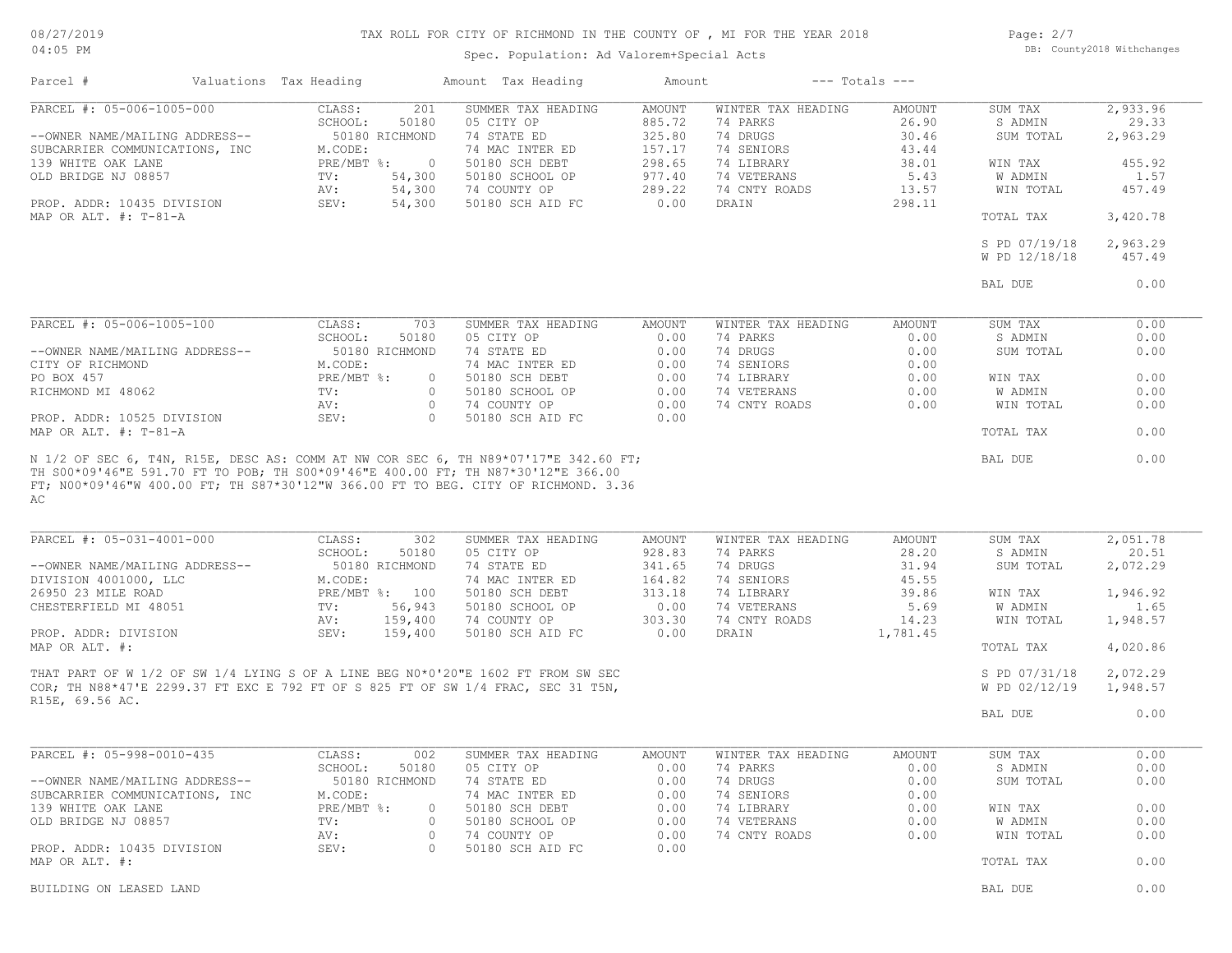# 08/27/2019

## TAX ROLL FOR CITY OF RICHMOND IN THE COUNTY OF , MI FOR THE YEAR 2018

04:05 PM

# Spec. Population: Ad Valorem+Special Acts

Page: 2/7 DB: County2018 Withchanges

| Parcel #                                                    | Valuations Tax Heading |                                                     | Amount Tax Heading                                                                                                                                                   | Amount                            |                                            | $---$ Totals $---$       |                                 |                               |
|-------------------------------------------------------------|------------------------|-----------------------------------------------------|----------------------------------------------------------------------------------------------------------------------------------------------------------------------|-----------------------------------|--------------------------------------------|--------------------------|---------------------------------|-------------------------------|
| PARCEL #: 05-006-1005-000<br>--OWNER NAME/MAILING ADDRESS-- |                        | CLASS:<br>201<br>SCHOOL:<br>50180<br>50180 RICHMOND | SUMMER TAX HEADING<br>05 CITY OP<br>74 STATE ED                                                                                                                      | <b>AMOUNT</b><br>885.72<br>325.80 | WINTER TAX HEADING<br>74 PARKS<br>74 DRUGS | AMOUNT<br>26.90<br>30.46 | SUM TAX<br>S ADMIN<br>SUM TOTAL | 2,933.96<br>29.33<br>2,963.29 |
| SUBCARRIER COMMUNICATIONS, INC                              |                        | M.CODE:                                             | 74 MAC INTER ED                                                                                                                                                      | 157.17                            | 74 SENIORS                                 | 43.44                    |                                 |                               |
| 139 WHITE OAK LANE                                          |                        | $PRE/MBT$ $\div$                                    | $\overline{0}$<br>50180 SCH DEBT                                                                                                                                     | 298.65                            | 74 LIBRARY                                 | 38.01                    | WIN TAX                         | 455.92                        |
| OLD BRIDGE NJ 08857                                         |                        | 54,300<br>TV:                                       | 50180 SCHOOL OP                                                                                                                                                      | 977.40                            | 74 VETERANS                                | 5.43                     | W ADMIN                         | 1.57                          |
|                                                             |                        | 54,300<br>AV:                                       | 74 COUNTY OP                                                                                                                                                         | 289.22                            | 74 CNTY ROADS                              | 13.57                    | WIN TOTAL                       | 457.49                        |
| PROP. ADDR: 10435 DIVISION<br>MAP OR ALT. $\#$ : T-81-A     |                        | 54,300<br>SEV:                                      | 50180 SCH AID FC                                                                                                                                                     | 0.00                              | DRAIN                                      | 298.11                   | TOTAL TAX                       | 3,420.78                      |
|                                                             |                        |                                                     |                                                                                                                                                                      |                                   |                                            |                          | S PD 07/19/18<br>W PD 12/18/18  | 2,963.29<br>457.49            |
|                                                             |                        |                                                     |                                                                                                                                                                      |                                   |                                            |                          | BAL DUE                         | 0.00                          |
|                                                             |                        |                                                     |                                                                                                                                                                      |                                   |                                            |                          |                                 |                               |
| PARCEL #: 05-006-1005-100                                   |                        | CLASS:<br>703                                       | SUMMER TAX HEADING                                                                                                                                                   | AMOUNT                            | WINTER TAX HEADING                         | AMOUNT                   | SUM TAX                         | 0.00                          |
| --OWNER NAME/MAILING ADDRESS--                              |                        | SCHOOL:<br>50180<br>50180 RICHMOND                  | 05 CITY OP<br>74 STATE ED                                                                                                                                            | 0.00<br>0.00                      | 74 PARKS<br>74 DRUGS                       | 0.00<br>0.00             | S ADMIN<br>SUM TOTAL            | 0.00<br>0.00                  |
| CITY OF RICHMOND                                            |                        | M.CODE:                                             | 74 MAC INTER ED                                                                                                                                                      | 0.00                              | 74 SENIORS                                 | 0.00                     |                                 |                               |
| PO BOX 457                                                  |                        | $PRE/MBT$ $\div$                                    | 50180 SCH DEBT<br>$\circ$                                                                                                                                            | 0.00                              | 74 LIBRARY                                 | 0.00                     | WIN TAX                         | 0.00                          |
| RICHMOND MI 48062                                           |                        | TV:                                                 | $\circ$<br>50180 SCHOOL OP                                                                                                                                           | 0.00                              | 74 VETERANS                                | 0.00                     | W ADMIN                         | 0.00                          |
|                                                             |                        | AV:                                                 | $\circ$<br>74 COUNTY OP                                                                                                                                              | 0.00                              | 74 CNTY ROADS                              | 0.00                     | WIN TOTAL                       | 0.00                          |
| PROP. ADDR: 10525 DIVISION                                  |                        | SEV:                                                | $\Omega$<br>50180 SCH AID FC                                                                                                                                         | 0.00                              |                                            |                          |                                 |                               |
| MAP OR ALT. #: T-81-A                                       |                        |                                                     |                                                                                                                                                                      |                                   |                                            |                          | TOTAL TAX                       | 0.00                          |
| AC                                                          |                        |                                                     |                                                                                                                                                                      |                                   |                                            |                          |                                 |                               |
| PARCEL #: 05-031-4001-000                                   |                        | CLASS:<br>302<br>SCHOOL:<br>50180                   | SUMMER TAX HEADING<br>05 CITY OP                                                                                                                                     | <b>AMOUNT</b><br>928.83           | WINTER TAX HEADING<br>74 PARKS             | AMOUNT<br>28.20          | SUM TAX<br>S ADMIN              | 2,051.78<br>20.51             |
| --OWNER NAME/MAILING ADDRESS--                              |                        | 50180 RICHMOND                                      | 74 STATE ED                                                                                                                                                          | 341.65                            | 74 DRUGS                                   | 31.94                    | SUM TOTAL                       | 2,072.29                      |
| DIVISION 4001000, LLC                                       |                        | M.CODE:                                             | 74 MAC INTER ED                                                                                                                                                      | 164.82                            | 74 SENIORS                                 | 45.55                    |                                 |                               |
| 26950 23 MILE ROAD                                          |                        | PRE/MBT %: 100                                      | 50180 SCH DEBT                                                                                                                                                       | 313.18                            | 74 LIBRARY                                 | 39.86                    | WIN TAX                         | 1,946.92                      |
| CHESTERFIELD MI 48051                                       |                        | 56,943<br>TV:                                       | 50180 SCHOOL OP                                                                                                                                                      | 0.00                              | 74 VETERANS                                | 5.69                     | W ADMIN                         | 1.65                          |
|                                                             |                        | 159,400<br>AV:                                      | 74 COUNTY OP                                                                                                                                                         | 303.30                            | 74 CNTY ROADS                              | 14.23                    | WIN TOTAL                       | 1,948.57                      |
| PROP. ADDR: DIVISION<br>MAP OR ALT. #:                      |                        | SEV:<br>159,400                                     | 50180 SCH AID FC                                                                                                                                                     | 0.00                              | DRAIN                                      | 1,781.45                 | TOTAL TAX                       | 4,020.86                      |
|                                                             |                        |                                                     |                                                                                                                                                                      |                                   |                                            |                          |                                 |                               |
|                                                             |                        |                                                     | THAT PART OF W 1/2 OF SW 1/4 LYING S OF A LINE BEG N0*0'20"E 1602 FT FROM SW SEC<br>COR; TH N88*47'E 2299.37 FT EXC E 792 FT OF S 825 FT OF SW 1/4 FRAC, SEC 31 T5N, |                                   |                                            |                          | S PD 07/31/18<br>W PD 02/12/19  | 2,072.29<br>1,948.57          |
| R15E, 69.56 AC.                                             |                        |                                                     |                                                                                                                                                                      |                                   |                                            |                          | BAL DUE                         | 0.00                          |
|                                                             |                        |                                                     |                                                                                                                                                                      |                                   |                                            |                          |                                 | 0.00                          |
| PARCEL #: 05-998-0010-435                                   |                        | 002<br>CLASS:<br>SCHOOL:<br>50180                   | SUMMER TAX HEADING<br>05 CITY OP                                                                                                                                     | AMOUNT<br>0.00                    | WINTER TAX HEADING<br>74 PARKS             | AMOUNT<br>0.00           | SUM TAX<br>S ADMIN              | 0.00                          |
| --OWNER NAME/MAILING ADDRESS--                              |                        | 50180 RICHMOND                                      | 74 STATE ED                                                                                                                                                          | 0.00                              | 74 DRUGS                                   | 0.00                     | SUM TOTAL                       | 0.00                          |
| SUBCARRIER COMMUNICATIONS, INC                              |                        | M.CODE:                                             | 74 MAC INTER ED                                                                                                                                                      | 0.00                              | 74 SENIORS                                 | 0.00                     |                                 |                               |
| 139 WHITE OAK LANE                                          |                        | $PRE/MBT$ %:                                        | 50180 SCH DEBT<br>$\circ$                                                                                                                                            | 0.00                              | 74 LIBRARY                                 | 0.00                     | WIN TAX                         | 0.00                          |
| OLD BRIDGE NJ 08857                                         |                        | TV:                                                 | 50180 SCHOOL OP<br>$\circ$                                                                                                                                           | 0.00                              | 74 VETERANS                                | 0.00                     | W ADMIN                         | 0.00                          |
|                                                             |                        | AV:                                                 | 74 COUNTY OP<br>$\circ$                                                                                                                                              | 0.00                              | 74 CNTY ROADS                              | 0.00                     | WIN TOTAL                       | 0.00                          |
| PROP. ADDR: 10435 DIVISION                                  |                        | SEV:                                                | 50180 SCH AID FC<br>$\Omega$                                                                                                                                         | 0.00                              |                                            |                          |                                 |                               |
| MAP OR ALT. #:                                              |                        |                                                     |                                                                                                                                                                      |                                   |                                            |                          | TOTAL TAX                       | 0.00                          |
| BUILDING ON LEASED LAND                                     |                        |                                                     |                                                                                                                                                                      |                                   |                                            |                          | BAL DUE                         | 0.00                          |
|                                                             |                        |                                                     |                                                                                                                                                                      |                                   |                                            |                          |                                 |                               |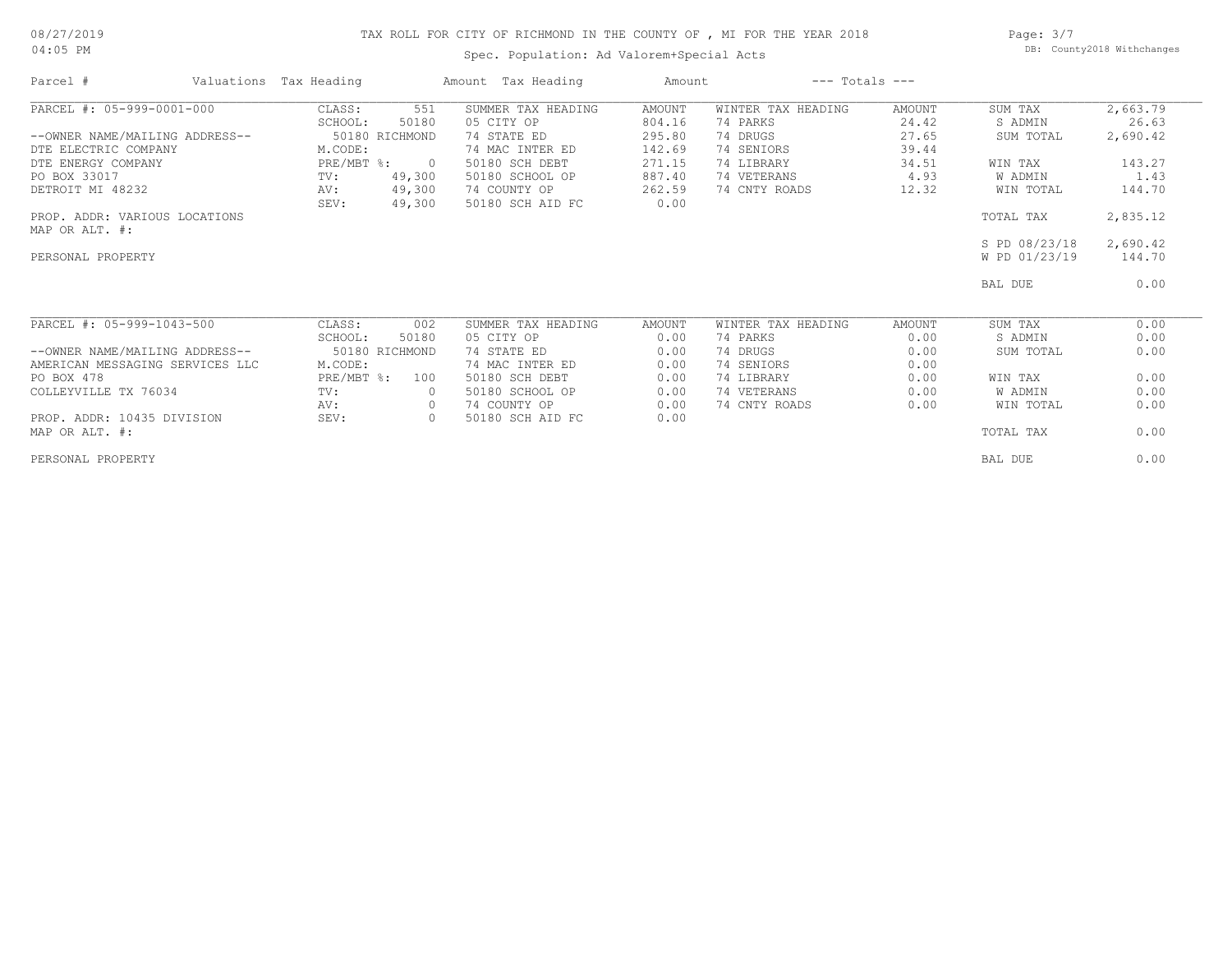#### 08/27/2019 04:05 PM

## TAX ROLL FOR CITY OF RICHMOND IN THE COUNTY OF , MI FOR THE YEAR 2018

Spec. Population: Ad Valorem+Special Acts

Page: 3/7 DB: County2018 Withchanges

| Parcel #                        | Valuations Tax Heading |                  | Amount Tax Heading               | Amount         |                    | $---$ Totals $---$ |               |          |
|---------------------------------|------------------------|------------------|----------------------------------|----------------|--------------------|--------------------|---------------|----------|
| PARCEL #: 05-999-0001-000       | CLASS:                 | 551              | SUMMER TAX HEADING               | AMOUNT         | WINTER TAX HEADING | <b>AMOUNT</b>      | SUM TAX       | 2,663.79 |
|                                 | SCHOOL:                | 50180            | 05 CITY OP                       | 804.16         | 74 PARKS           | 24.42              | S ADMIN       | 26.63    |
| --OWNER NAME/MAILING ADDRESS--  |                        | 50180 RICHMOND   | 74 STATE ED                      | 295.80         | 74 DRUGS           | 27.65              | SUM TOTAL     | 2,690.42 |
| DTE ELECTRIC COMPANY            | M.CODE:                |                  | 74 MAC INTER ED                  | 142.69         | 74 SENIORS         | 39.44              |               |          |
| DTE ENERGY COMPANY              | $PRE/MBT$ %:           | $\overline{0}$   | 50180 SCH DEBT                   | 271.15         | 74 LIBRARY         | 34.51              | WIN TAX       | 143.27   |
| PO BOX 33017                    | TV:                    | 49,300           | 50180 SCHOOL OP                  | 887.40         | 74 VETERANS        | 4.93               | W ADMIN       | 1.43     |
| DETROIT MI 48232                | AV:<br>SEV:            | 49,300<br>49,300 | 74 COUNTY OP<br>50180 SCH AID FC | 262.59<br>0.00 | 74 CNTY ROADS      | 12.32              | WIN TOTAL     | 144.70   |
| PROP. ADDR: VARIOUS LOCATIONS   |                        |                  |                                  |                |                    |                    | TOTAL TAX     | 2,835.12 |
| MAP OR ALT. #:                  |                        |                  |                                  |                |                    |                    |               |          |
|                                 |                        |                  |                                  |                |                    |                    | S PD 08/23/18 | 2,690.42 |
| PERSONAL PROPERTY               |                        |                  |                                  |                |                    |                    | W PD 01/23/19 | 144.70   |
|                                 |                        |                  |                                  |                |                    |                    | BAL DUE       | 0.00     |
| PARCEL #: 05-999-1043-500       | CLASS:                 | 002              | SUMMER TAX HEADING               | AMOUNT         | WINTER TAX HEADING | AMOUNT             | SUM TAX       | 0.00     |
|                                 | SCHOOL:                | 50180            | 05 CITY OP                       | 0.00           | 74 PARKS           | 0.00               | S ADMIN       | 0.00     |
| --OWNER NAME/MAILING ADDRESS--  |                        | 50180 RICHMOND   | 74 STATE ED                      | 0.00           | 74 DRUGS           | 0.00               | SUM TOTAL     | 0.00     |
| AMERICAN MESSAGING SERVICES LLC | M.CODE:                |                  | 74 MAC INTER ED                  | 0.00           | 74 SENIORS         | 0.00               |               |          |
| PO BOX 478                      | PRE/MBT %:             | 100              | 50180 SCH DEBT                   | 0.00           | 74 LIBRARY         | 0.00               | WIN TAX       | 0.00     |
| COLLEYVILLE TX 76034            | TV:                    |                  | 50180 SCHOOL OP                  | 0.00           | 74 VETERANS        | 0.00               | W ADMIN       | 0.00     |
|                                 | AV:                    | $\circ$          | 74 COUNTY OP                     | 0.00           | 74 CNTY ROADS      | 0.00               | WIN TOTAL     | 0.00     |
| PROP. ADDR: 10435 DIVISION      | SEV:                   | $\circ$          | 50180 SCH AID FC                 | 0.00           |                    |                    |               |          |
| MAP OR ALT. #:                  |                        |                  |                                  |                |                    |                    | TOTAL TAX     | 0.00     |
| PERSONAL PROPERTY               |                        |                  |                                  |                |                    |                    | BAL DUE       | 0.00     |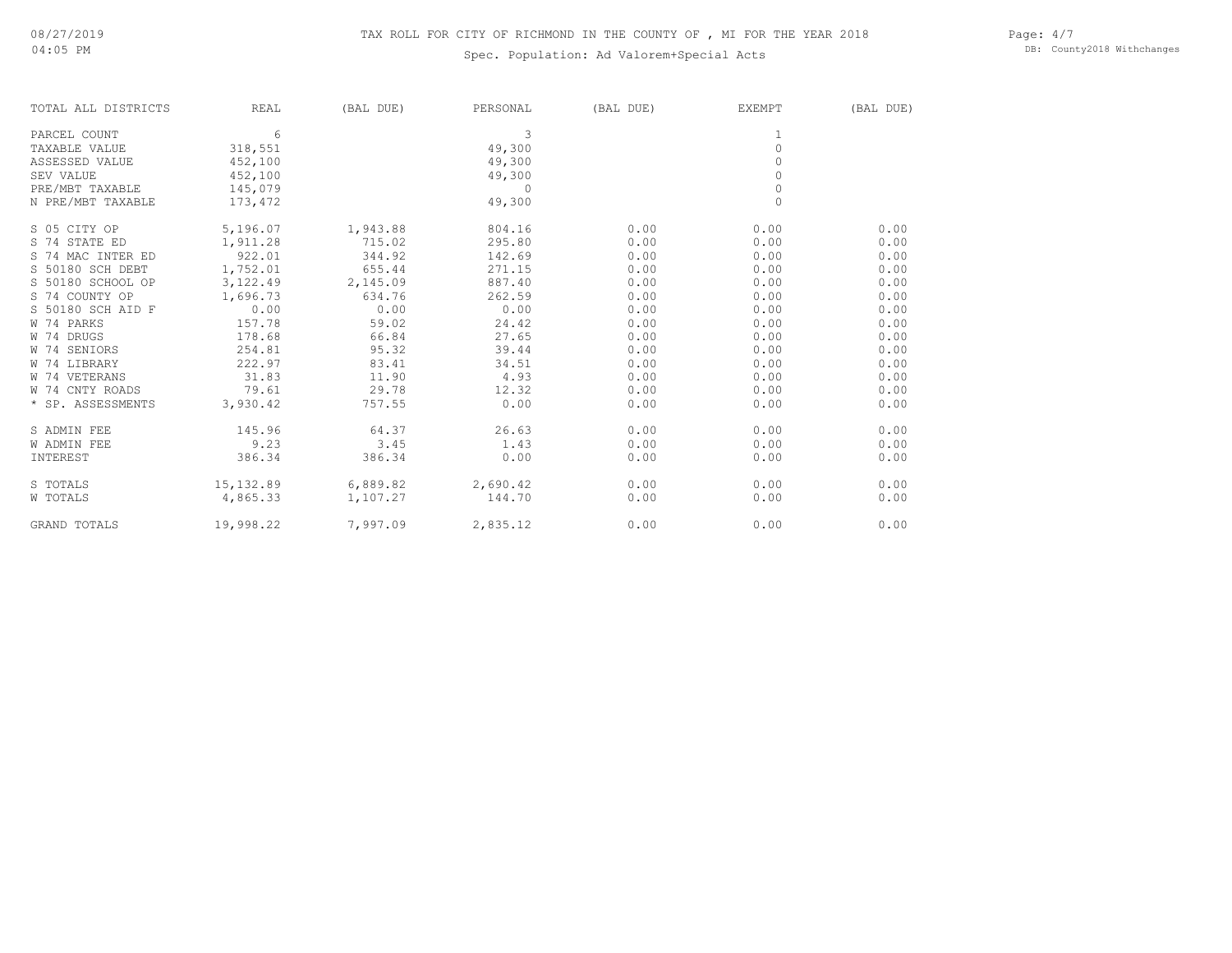## TAX ROLL FOR CITY OF RICHMOND IN THE COUNTY OF , MI FOR THE YEAR 2018

## Spec. Population: Ad Valorem+Special Acts

Page: 4/7 DB: County2018 Withchanges

| TOTAL ALL DISTRICTS | REAL       | (BAL DUE) | PERSONAL | (BAL DUE) | EXEMPT   | (BAL DUE) |
|---------------------|------------|-----------|----------|-----------|----------|-----------|
| PARCEL COUNT        | 6          |           | 3        |           |          |           |
| TAXABLE VALUE       | 318,551    |           | 49,300   |           | $\circ$  |           |
| ASSESSED VALUE      | 452,100    |           | 49,300   |           | $\Omega$ |           |
| SEV VALUE           | 452,100    |           | 49,300   |           | $\Omega$ |           |
| PRE/MBT TAXABLE     | 145,079    |           | 0        |           | $\circ$  |           |
| N PRE/MBT TAXABLE   | 173,472    |           | 49,300   |           | $\Omega$ |           |
| S 05 CITY OP        | 5,196.07   | 1,943.88  | 804.16   | 0.00      | 0.00     | 0.00      |
| S 74 STATE ED       | 1,911.28   | 715.02    | 295.80   | 0.00      | 0.00     | 0.00      |
| S 74 MAC INTER ED   | 922.01     | 344.92    | 142.69   | 0.00      | 0.00     | 0.00      |
| S 50180 SCH DEBT    | 1,752.01   | 655.44    | 271.15   | 0.00      | 0.00     | 0.00      |
| S 50180 SCHOOL OP   | 3,122.49   | 2,145.09  | 887.40   | 0.00      | 0.00     | 0.00      |
| S 74 COUNTY OP      | 1,696.73   | 634.76    | 262.59   | 0.00      | 0.00     | 0.00      |
| S 50180 SCH AID F   | 0.00       | 0.00      | 0.00     | 0.00      | 0.00     | 0.00      |
| W 74 PARKS          | 157.78     | 59.02     | 24.42    | 0.00      | 0.00     | 0.00      |
| W 74 DRUGS          | 178.68     | 66.84     | 27.65    | 0.00      | 0.00     | 0.00      |
| W 74 SENIORS        | 254.81     | 95.32     | 39.44    | 0.00      | 0.00     | 0.00      |
| W 74 LIBRARY        | 222.97     | 83.41     | 34.51    | 0.00      | 0.00     | 0.00      |
| W 74 VETERANS       | 31.83      | 11.90     | 4.93     | 0.00      | 0.00     | 0.00      |
| W 74 CNTY ROADS     | 79.61      | 29.78     | 12.32    | 0.00      | 0.00     | 0.00      |
| * SP. ASSESSMENTS   | 3,930.42   | 757.55    | 0.00     | 0.00      | 0.00     | 0.00      |
| S ADMIN FEE         | 145.96     | 64.37     | 26.63    | 0.00      | 0.00     | 0.00      |
| <b>W ADMIN FEE</b>  | 9.23       | 3.45      | 1.43     | 0.00      | 0.00     | 0.00      |
| INTEREST            | 386.34     | 386.34    | 0.00     | 0.00      | 0.00     | 0.00      |
| S TOTALS            | 15, 132.89 | 6,889.82  | 2,690.42 | 0.00      | 0.00     | 0.00      |
| W TOTALS            | 4,865.33   | 1,107.27  | 144.70   | 0.00      | 0.00     | 0.00      |
| GRAND TOTALS        | 19,998.22  | 7,997.09  | 2,835.12 | 0.00      | 0.00     | 0.00      |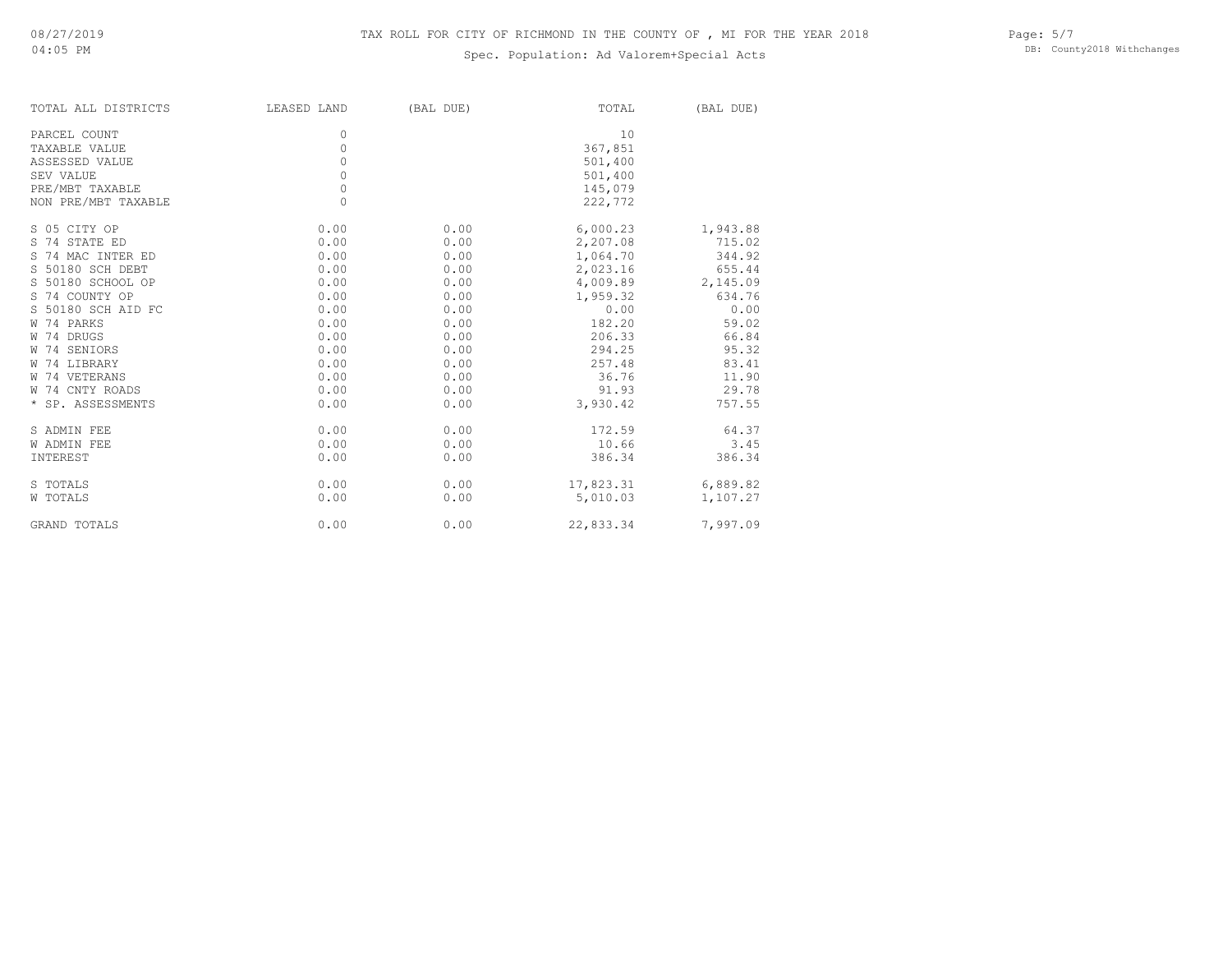## Spec. Population: Ad Valorem+Special Acts

| TOTAL ALL DISTRICTS | LEASED LAND | (BAL DUE) | TOTAL     | (BAL DUE) |
|---------------------|-------------|-----------|-----------|-----------|
| PARCEL COUNT        | 0           |           | 10        |           |
| TAXABLE VALUE       | $\circ$     |           | 367,851   |           |
| ASSESSED VALUE      | $\Omega$    |           | 501,400   |           |
| SEV VALUE           | 0           |           | 501,400   |           |
| PRE/MBT TAXABLE     | $\circ$     |           | 145,079   |           |
| NON PRE/MBT TAXABLE | $\Omega$    |           | 222,772   |           |
| S 05 CITY OP        | 0.00        | 0.00      | 6,000.23  | 1,943.88  |
| S 74 STATE ED       | 0.00        | 0.00      | 2,207.08  | 715.02    |
| S 74 MAC INTER ED   | 0.00        | 0.00      | 1,064.70  | 344.92    |
| S 50180 SCH DEBT    | 0.00        | 0.00      | 2,023.16  | 655.44    |
| S 50180 SCHOOL OP   | 0.00        | 0.00      | 4,009.89  | 2,145.09  |
| S 74 COUNTY OP      | 0.00        | 0.00      | 1,959.32  | 634.76    |
| S 50180 SCH AID FC  | 0.00        | 0.00      | 0.00      | 0.00      |
| W 74 PARKS          | 0.00        | 0.00      | 182.20    | 59.02     |
| W 74 DRUGS          | 0.00        | 0.00      | 206.33    | 66.84     |
| W 74 SENIORS        | 0.00        | 0.00      | 294.25    | 95.32     |
| W 74 LIBRARY        | 0.00        | 0.00      | 257.48    | 83.41     |
| W 74 VETERANS       | 0.00        | 0.00      | 36.76     | 11.90     |
| W 74 CNTY ROADS     | 0.00        | 0.00      | 91.93     | 29.78     |
| * SP. ASSESSMENTS   | 0.00        | 0.00      | 3,930.42  | 757.55    |
| S ADMIN FEE         | 0.00        | 0.00      | 172.59    | 64.37     |
| <b>W ADMIN FEE</b>  | 0.00        | 0.00      | 10.66     | 3.45      |
| INTEREST            | 0.00        | 0.00      | 386.34    | 386.34    |
| S TOTALS            | 0.00        | 0.00      | 17,823.31 | 6,889.82  |
| W TOTALS            | 0.00        | 0.00      | 5,010.03  | 1,107.27  |
| <b>GRAND TOTALS</b> | 0.00        | 0.00      | 22,833.34 | 7,997.09  |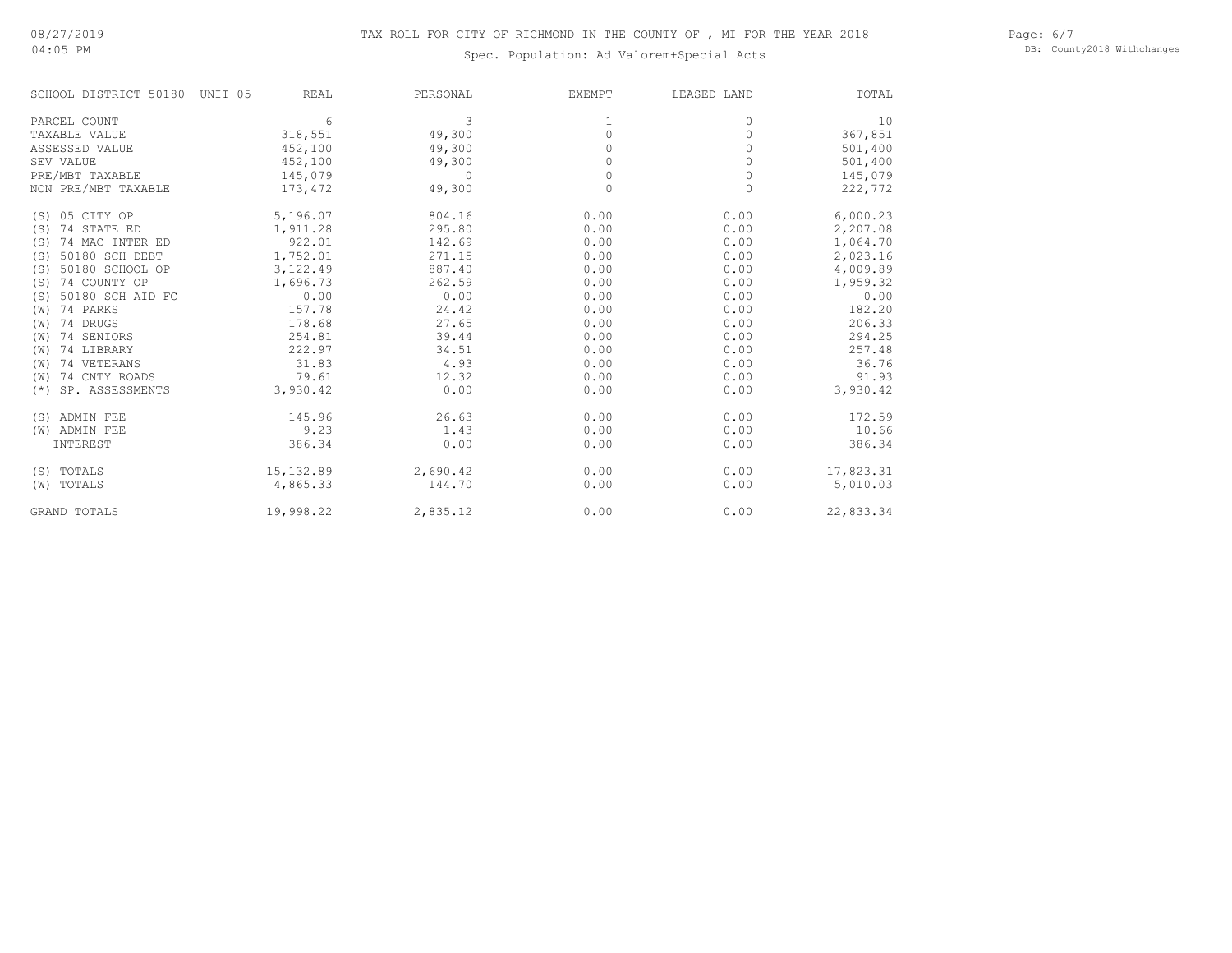#### Page: 6/7 DB: County2018 Withchanges

## Spec. Population: Ad Valorem+Special Acts

| SCHOOL DISTRICT 50180     | UNIT 05<br>REAL | PERSONAL | EXEMPT   | LEASED LAND | TOTAL     |
|---------------------------|-----------------|----------|----------|-------------|-----------|
| PARCEL COUNT              | 6               | 3        |          | $\Omega$    | 10        |
| TAXABLE VALUE             | 318,551         | 49,300   | 0        | 0           | 367,851   |
| ASSESSED VALUE            | 452,100         | 49,300   | $\Omega$ | $\Omega$    | 501,400   |
| SEV VALUE                 | 452,100         | 49,300   |          | $\Omega$    | 501,400   |
| PRE/MBT TAXABLE           | 145,079         | $\Omega$ | $\Omega$ | 0           | 145,079   |
| NON PRE/MBT TAXABLE       | 173,472         | 49,300   | $\Omega$ | $\Omega$    | 222,772   |
| 05 CITY OP<br>(S)         | 5,196.07        | 804.16   | 0.00     | 0.00        | 6,000.23  |
| 74 STATE ED<br>(S)        | 1,911.28        | 295.80   | 0.00     | 0.00        | 2,207.08  |
| 74 MAC INTER ED<br>(S)    | 922.01          | 142.69   | 0.00     | 0.00        | 1,064.70  |
| 50180 SCH DEBT<br>(S)     | 1,752.01        | 271.15   | 0.00     | 0.00        | 2,023.16  |
| 50180 SCHOOL OP<br>(S)    | 3,122.49        | 887.40   | 0.00     | 0.00        | 4,009.89  |
| 74 COUNTY OP<br>(S)       | 1,696.73        | 262.59   | 0.00     | 0.00        | 1,959.32  |
| 50180 SCH AID FC<br>(S)   | 0.00            | 0.00     | 0.00     | 0.00        | 0.00      |
| 74 PARKS<br>(W)           | 157.78          | 24.42    | 0.00     | 0.00        | 182.20    |
| 74 DRUGS<br>(W)           | 178.68          | 27.65    | 0.00     | 0.00        | 206.33    |
| 74 SENIORS<br>(W)         | 254.81          | 39.44    | 0.00     | 0.00        | 294.25    |
| 74 LIBRARY<br>(W)         | 222.97          | 34.51    | 0.00     | 0.00        | 257.48    |
| 74 VETERANS<br>(W)        | 31.83           | 4.93     | 0.00     | 0.00        | 36.76     |
| 74 CNTY ROADS<br>(W)      | 79.61           | 12.32    | 0.00     | 0.00        | 91.93     |
| SP. ASSESSMENTS<br>$(* )$ | 3,930.42        | 0.00     | 0.00     | 0.00        | 3,930.42  |
| (S) ADMIN FEE             | 145.96          | 26.63    | 0.00     | 0.00        | 172.59    |
| (W) ADMIN FEE             | 9.23            | 1.43     | 0.00     | 0.00        | 10.66     |
| INTEREST                  | 386.34          | 0.00     | 0.00     | 0.00        | 386.34    |
| (S) TOTALS                | 15, 132.89      | 2,690.42 | 0.00     | 0.00        | 17,823.31 |
| (W) TOTALS                | 4,865.33        | 144.70   | 0.00     | 0.00        | 5,010.03  |
| <b>GRAND TOTALS</b>       | 19,998.22       | 2,835.12 | 0.00     | 0.00        | 22,833.34 |